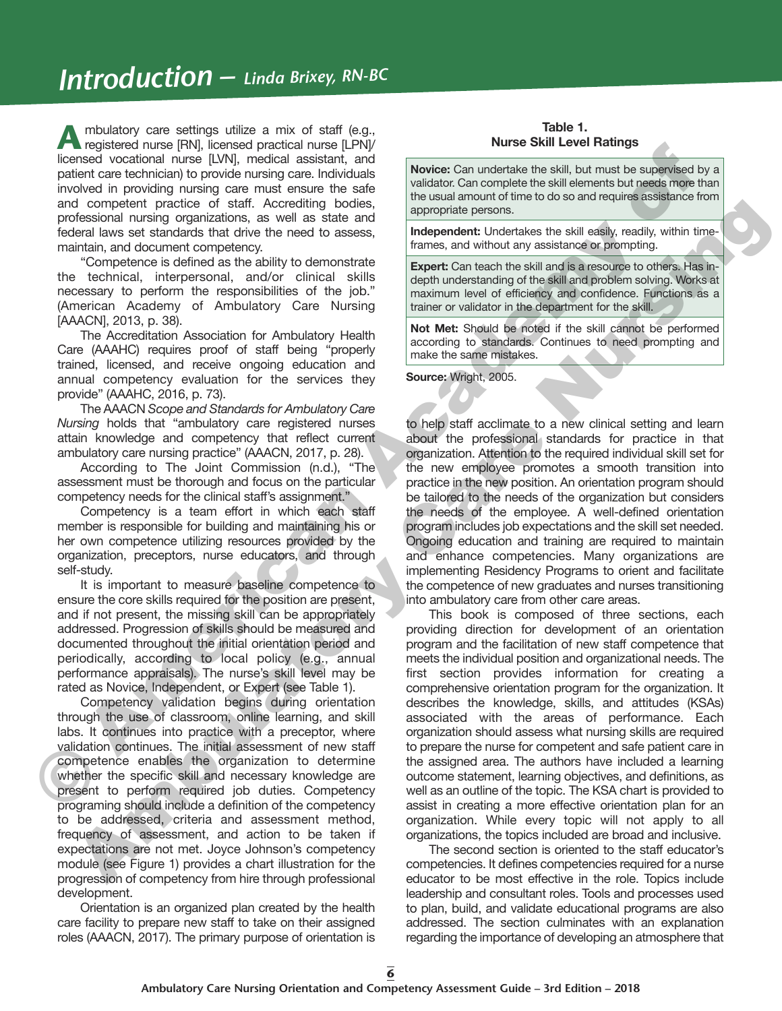# *Introduction – Linda Brixey, RN-BC*

**A** mbulatory care settings utilize a mix of staff (e.g., registered nurse [RN], licensed practical nurse [LPN]/ licensed vocational nurse [LVN], medical assistant, and patient care technician) to provide nursing care. Individuals involved in providing nursing care must ensure the safe and competent practice of staff. Accrediting bodies, professional nursing organizations, as well as state and federal laws set standards that drive the need to assess, maintain, and document competency.

"Competence is defined as the ability to demonstrate the technical, interpersonal, and/or clinical skills necessary to perform the responsibilities of the job." (American Academy of Ambulatory Care Nursing [AAACN], 2013, p. 38).

The Accreditation Association for Ambulatory Health Care (AAAHC) requires proof of staff being "properly trained, licensed, and receive ongoing education and annual competency evaluation for the services they provide" (AAAHC, 2016, p. 73).

The AAACN *Scope and Standards for Ambulatory Care Nursing* holds that "ambulatory care registered nurses attain knowledge and competency that reflect current ambulatory care nursing practice" (AAACN, 2017, p. 28).

According to The Joint Commission (n.d.), "The assessment must be thorough and focus on the particular competency needs for the clinical staff's assignment."

Competency is a team effort in which each staff member is responsible for building and maintaining his or her own competence utilizing resources provided by the organization, preceptors, nurse educators, and through self-study.

It is important to measure baseline competence to ensure the core skills required for the position are present, and if not present, the missing skill can be appropriately addressed. Progression of skills should be measured and documented throughout the initial orientation period and periodically, according to local policy (e.g., annual performance appraisals). The nurse's skill level may be rated as Novice, Independent, or Expert (see Table 1).

Competency validation begins during orientation through the use of classroom, online learning, and skill labs. It continues into practice with a preceptor, where validation continues. The initial assessment of new staff competence enables the organization to determine whether the specific skill and necessary knowledge are present to perform required job duties. Competency programing should include a definition of the competency to be addressed, criteria and assessment method, frequency of assessment, and action to be taken if expectations are not met. Joyce Johnson's competency module (see Figure 1) provides a chart illustration for the progression of competency from hire through professional development.

Orientation is an organized plan created by the health care facility to prepare new staff to take on their assigned roles (AAACN, 2017). The primary purpose of orientation is

#### **Table 1. Nurse Skill Level Ratings**

**Novice:** Can undertake the skill, but must be supervised by a validator. Can complete the skill elements but needs more than the usual amount of time to do so and requires assistance from appropriate persons.

**Independent:** Undertakes the skill easily, readily, within timeframes, and without any assistance or prompting.

**Expert:** Can teach the skill and is a resource to others. Has indepth understanding of the skill and problem solving. Works at maximum level of efficiency and confidence. Functions as a trainer or validator in the department for the skill.

**Not Met:** Should be noted if the skill cannot be performed according to standards. Continues to need prompting and make the same mistakes.

**Source:** Wright, 2005.

to help staff acclimate to a new clinical setting and learn about the professional standards for practice in that organization. Attention to the required individual skill set for the new employee promotes a smooth transition into practice in the new position. An orientation program should be tailored to the needs of the organization but considers the needs of the employee. A well-defined orientation program includes job expectations and the skill set needed. Ongoing education and training are required to maintain and enhance competencies. Many organizations are implementing Residency Programs to orient and facilitate the competence of new graduates and nurses transitioning into ambulatory care from other care areas.

This book is composed of three sections, each providing direction for development of an orientation program and the facilitation of new staff competence that meets the individual position and organizational needs. The first section provides information for creating a comprehensive orientation program for the organization. It describes the knowledge, skills, and attitudes (KSAs) associated with the areas of performance. Each organization should assess what nursing skills are required to prepare the nurse for competent and safe patient care in the assigned area. The authors have included a learning outcome statement, learning objectives, and definitions, as well as an outline of the topic. The KSA chart is provided to assist in creating a more effective orientation plan for an organization. While every topic will not apply to all organizations, the topics included are broad and inclusive. **F** a most like increase the reaction are consistent and **b** a consistent and the strength of the reaction and the reaction and the reaction and the reaction and the reaction and the reaction and the reaction and the react d competent practice of staff. According books.<br>
Hospital merits on the staff in the staff in the staff in the staff in the staff in the staff in the staff in the staff in the staff in the staff in the staff in the staff i

The second section is oriented to the staff educator's competencies. It defines competencies required for a nurse educator to be most effective in the role. Topics include leadership and consultant roles. Tools and processes used to plan, build, and validate educational programs are also addressed. The section culminates with an explanation regarding the importance of developing an atmosphere that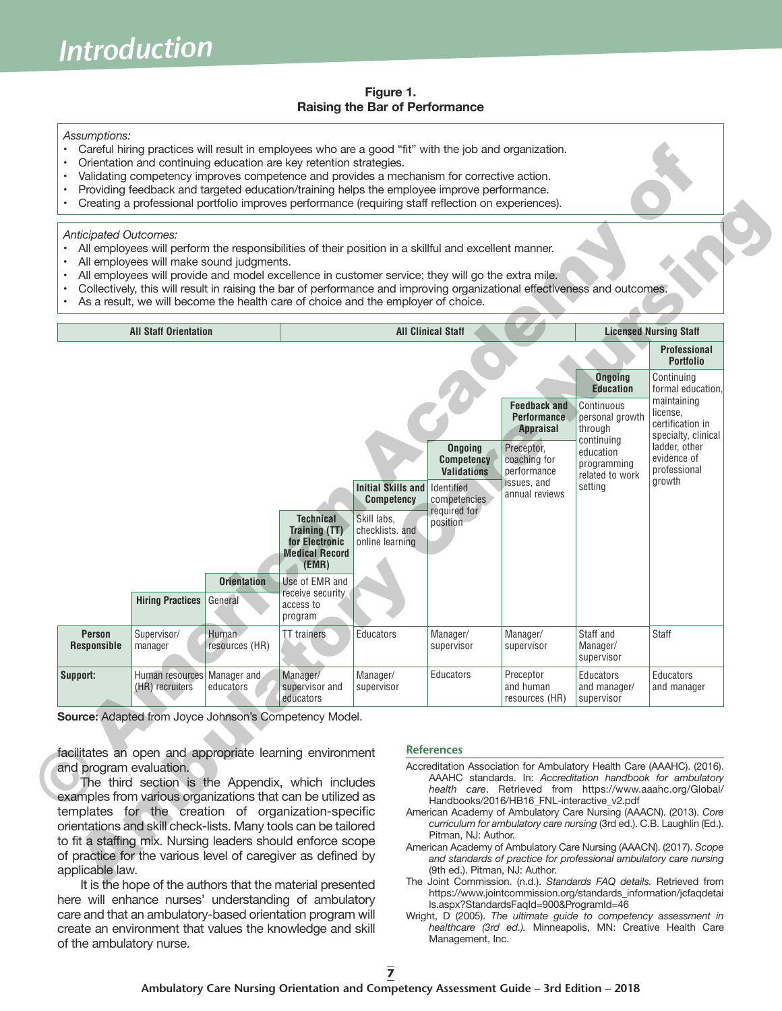#### **Figure 1. Raising the Bar of Performance**

#### *Assumptions:*

- Careful hiring practices will result in employees who are a good "fit" with the job and organization.
- Orientation and continuing education are key retention strategies.
- Validating competency improves competence and provides a mechanism for corrective action.
- Providing feedback and targeted education/training helps the employee improve performance.
- Creating a professional portfolio improves performance (requiring staff reflection on experiences).

#### *Anticipated Outcomes:*

- All employees will perform the responsibilities of their position in a skillful and excellent manner.
- All employees will make sound judgments.
- All employees will provide and model excellence in customer service; they will go the extra mile.
- Collectively, this will result in raising the bar of performance and improving organizational effectiveness and outcomes.
- As a result, we will become the health care of choice and the employer of choice.

|                       | Collectively, this will result in raising the bar of performance and improving organizational effectiveness and outcomes.<br>As a result, we will become the health care of choice and the employer of choice.<br><b>All Staff Orientation</b> |                               |                                                                                                                                    | All employees will provide and model excellence in customer service; they will go the extra mile. | <b>All Clinical Staff</b>                              |                                                               |                                                                      | <b>Licensed Nursing Staff</b>                                                                         |
|-----------------------|------------------------------------------------------------------------------------------------------------------------------------------------------------------------------------------------------------------------------------------------|-------------------------------|------------------------------------------------------------------------------------------------------------------------------------|---------------------------------------------------------------------------------------------------|--------------------------------------------------------|---------------------------------------------------------------|----------------------------------------------------------------------|-------------------------------------------------------------------------------------------------------|
|                       |                                                                                                                                                                                                                                                |                               |                                                                                                                                    |                                                                                                   |                                                        |                                                               | <b>Professional</b><br><b>Portfolio</b>                              |                                                                                                       |
|                       |                                                                                                                                                                                                                                                |                               |                                                                                                                                    |                                                                                                   |                                                        |                                                               | <b>Ongoing</b>                                                       | Continuing<br>formal education,<br>maintaining<br>license,<br>certification in<br>specialty, clinical |
|                       |                                                                                                                                                                                                                                                |                               |                                                                                                                                    |                                                                                                   |                                                        | <b>Feedback and</b><br><b>Performance</b><br><b>Appraisal</b> | <b>Education</b><br>Continuous<br>personal growth<br>through         |                                                                                                       |
|                       |                                                                                                                                                                                                                                                |                               |                                                                                                                                    | <b>Initial Skills and</b>                                                                         |                                                        | Preceptor,<br>coaching for<br>performance<br>issues, and      | continuing<br>education<br>programming<br>related to work<br>setting | ladder, other<br>evidence of<br>professional<br>growth                                                |
|                       | <b>Hiring Practices</b>                                                                                                                                                                                                                        | <b>Orientation</b><br>General | <b>Technical</b><br><b>Training (TT)</b><br>for Electronic<br><b>Medical Record</b><br>(EMR)<br>Use of EMR and<br>receive security | <b>Competency</b><br>Skill labs,<br>checklists. and<br>online learning                            | Identified<br>competencies<br>required for<br>position | annual reviews                                                |                                                                      |                                                                                                       |
|                       |                                                                                                                                                                                                                                                |                               | access to<br>program                                                                                                               |                                                                                                   |                                                        |                                                               |                                                                      |                                                                                                       |
|                       |                                                                                                                                                                                                                                                |                               |                                                                                                                                    |                                                                                                   |                                                        | Manager/                                                      | Staff and                                                            | Staff                                                                                                 |
| Person<br>Responsible | Supervisor/<br>manager                                                                                                                                                                                                                         | Human<br>resources (HR)       | <b>TT</b> trainers                                                                                                                 | Educators                                                                                         | Manager/<br>supervisor                                 | supervisor                                                    | Manager/<br>supervisor                                               |                                                                                                       |
| Support:              | Human resources<br>(HR) recruiters<br>Source: Adapted from Joyce Johnson's Competency Model.                                                                                                                                                   | Manager and<br>educators      | Manager/<br>supervisor and<br>educators                                                                                            | Manager/<br>supervisor                                                                            | Educators                                              | Preceptor<br>and human<br>resources (HR)                      | Educators<br>and manager/<br>supervisor                              | Educators<br>and manager                                                                              |

It is the hope of the authors that the material presented here will enhance nurses' understanding of ambulatory care and that an ambulatory-based orientation program will create an environment that values the knowledge and skill of the ambulatory nurse.

#### **References**

- Accreditation Association for Ambulatory Health Care (AAAHC). (2016). AAAHC standards. In: *Accreditation handbook for ambulatory health care*. Retrieved from https://www.aaahc.org/Global/ Handbooks/2016/HB16\_FNL-interactive\_v2.pdf
- American Academy of Ambulatory Care Nursing (AAACN). (2013). *Core curriculum for ambulatory care nursing* (3rd ed.). C.B. Laughlin (Ed.). Pitman, NJ: Author.
- American Academy of Ambulatory Care Nursing (AAACN). (2017). *Scope and standards of practice for professional ambulatory care nursing* (9th ed.). Pitman, NJ: Author.
- The Joint Commission. (n.d.). *Standards FAQ details.* Retrieved from https://www.jointcommission.org/standards\_information/jcfaqdetai ls.aspx?StandardsFaqId=900&ProgramId=46
- Wright, D (2005). *The ultimate guide to competency assessment in healthcare (3rd ed.).* Minneapolis, MN: Creative Health Care Management, Inc.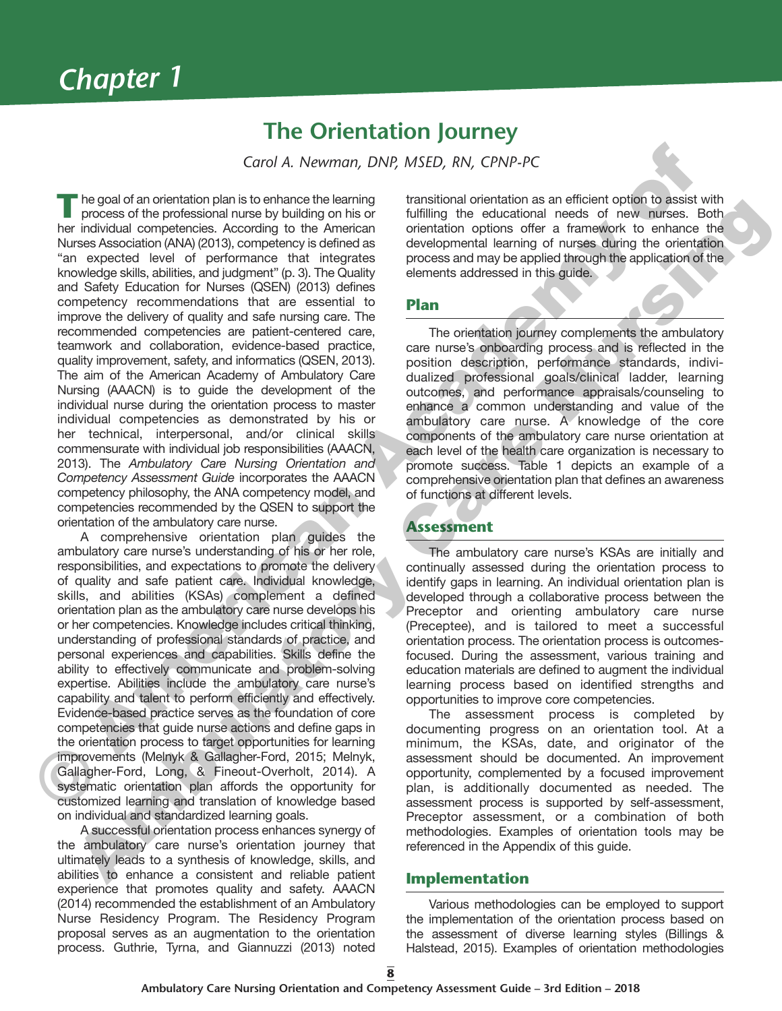## **The Orientation Journey**

*Carol A. Newman, DNP, MSED, RN, CPNP-PC*

**T**he goal of an orientation plan is to enhance the learning process of the professional nurse by building on his or her individual competencies. According to the American Nurses Association (ANA) (2013), competency is defined as "an expected level of performance that integrates knowledge skills, abilities, and judgment" (p. 3). The Quality and Safety Education for Nurses (QSEN) (2013) defines competency recommendations that are essential to improve the delivery of quality and safe nursing care. The recommended competencies are patient-centered care, teamwork and collaboration, evidence-based practice, quality improvement, safety, and informatics (QSEN, 2013). The aim of the American Academy of Ambulatory Care Nursing (AAACN) is to guide the development of the individual nurse during the orientation process to master individual competencies as demonstrated by his or her technical, interpersonal, and/or clinical skills commensurate with individual job responsibilities (AAACN, 2013). The *Ambulatory Care Nursing Orientation and Competency Assessment Guide* incorporates the AAACN competency philosophy, the ANA competency model, and competencies recommended by the QSEN to support the orientation of the ambulatory care nurse. **Example 18 Corol A.** Newmann, DNP, MSED, RN, CPNP-PC<br>
The goal of an orientation plan is to enhance be learning transitional orientation as an efficient collect to see the<br>
Murez Academy hours are the proposed in the col From the american strengtheneon the distribution of the minimum of the strengtheneon in the constraints of the minimum of the strengtheneon in the strengtheneon in the strengtheneon in the strengtheneon in the strengthene

A comprehensive orientation plan guides the ambulatory care nurse's understanding of his or her role, responsibilities, and expectations to promote the delivery of quality and safe patient care. Individual knowledge, skills, and abilities (KSAs) complement a defined orientation plan as the ambulatory care nurse develops his or her competencies. Knowledge includes critical thinking, understanding of professional standards of practice, and personal experiences and capabilities. Skills define the ability to effectively communicate and problem-solving expertise. Abilities include the ambulatory care nurse's capability and talent to perform efficiently and effectively. Evidence-based practice serves as the foundation of core competencies that guide nurse actions and define gaps in the orientation process to target opportunities for learning improvements (Melnyk & Gallagher-Ford, 2015; Melnyk, Gallagher-Ford, Long, & Fineout-Overholt, 2014). A systematic orientation plan affords the opportunity for customized learning and translation of knowledge based on individual and standardized learning goals.

A successful orientation process enhances synergy of the ambulatory care nurse's orientation journey that ultimately leads to a synthesis of knowledge, skills, and abilities to enhance a consistent and reliable patient experience that promotes quality and safety. AAACN (2014) recommended the establishment of an Ambulatory Nurse Residency Program. The Residency Program proposal serves as an augmentation to the orientation process. Guthrie, Tyrna, and Giannuzzi (2013) noted

transitional orientation as an efficient option to assist with fulfilling the educational needs of new nurses. Both orientation options offer a framework to enhance the developmental learning of nurses during the orientation process and may be applied through the application of the elements addressed in this guide.

### **Plan**

The orientation journey complements the ambulatory care nurse's onboarding process and is reflected in the position description, performance standards, individualized professional goals/clinical ladder, learning outcomes, and performance appraisals/counseling to enhance a common understanding and value of the ambulatory care nurse. A knowledge of the core components of the ambulatory care nurse orientation at each level of the health care organization is necessary to promote success. Table 1 depicts an example of a comprehensive orientation plan that defines an awareness of functions at different levels.

### **Assessment**

The ambulatory care nurse's KSAs are initially and continually assessed during the orientation process to identify gaps in learning. An individual orientation plan is developed through a collaborative process between the Preceptor and orienting ambulatory care nurse (Preceptee), and is tailored to meet a successful orientation process. The orientation process is outcomesfocused. During the assessment, various training and education materials are defined to augment the individual learning process based on identified strengths and opportunities to improve core competencies.

The assessment process is completed by documenting progress on an orientation tool. At a minimum, the KSAs, date, and originator of the assessment should be documented. An improvement opportunity, complemented by a focused improvement plan, is additionally documented as needed. The assessment process is supported by self-assessment, Preceptor assessment, or a combination of both methodologies. Examples of orientation tools may be referenced in the Appendix of this guide.

### **Implementation**

Various methodologies can be employed to support the implementation of the orientation process based on the assessment of diverse learning styles (Billings & Halstead, 2015). Examples of orientation methodologies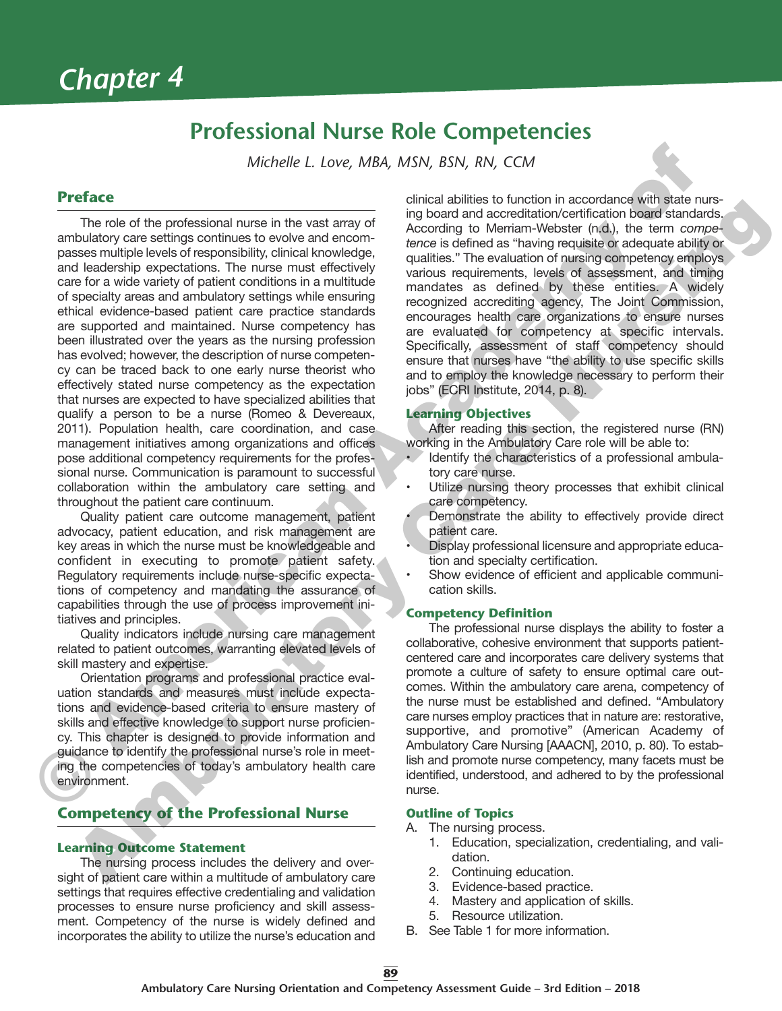## **Professional Nurse Role Competencies**

*Michelle L. Love, MBA, MSN, BSN, RN, CCM*

## **Preface**

The role of the professional nurse in the vast array of ambulatory care settings continues to evolve and encompasses multiple levels of responsibility, clinical knowledge, and leadership expectations. The nurse must effectively care for a wide variety of patient conditions in a multitude of specialty areas and ambulatory settings while ensuring ethical evidence-based patient care practice standards are supported and maintained. Nurse competency has been illustrated over the years as the nursing profession has evolved; however, the description of nurse competency can be traced back to one early nurse theorist who effectively stated nurse competency as the expectation that nurses are expected to have specialized abilities that qualify a person to be a nurse (Romeo & Devereaux, 2011). Population health, care coordination, and case management initiatives among organizations and offices pose additional competency requirements for the professional nurse. Communication is paramount to successful collaboration within the ambulatory care setting and throughout the patient care continuum. **Preface** Michelle L. Love, M8A, MSN, BSN, RN, CCM<br>
The raise of the prefassional nurse in the vast army of the planetime of bustines to function and<br>
ambulatory case entirege on the such and consider and the planetime of The noise disk professional nursin the wast away<br>
The noise disk professional nursin the wast away<br>  $\alpha$ -coording to Meritim-Website (righ, the term competer<br>
and some and some and smooth and smooth and smooth and smooth a

Quality patient care outcome management, patient advocacy, patient education, and risk management are key areas in which the nurse must be knowledgeable and confident in executing to promote patient safety. Regulatory requirements include nurse-specific expectations of competency and mandating the assurance of capabilities through the use of process improvement initiatives and principles.

Quality indicators include nursing care management related to patient outcomes, warranting elevated levels of skill mastery and expertise.

Orientation programs and professional practice evaluation standards and measures must include expectations and evidence-based criteria to ensure mastery of skills and effective knowledge to support nurse proficiency. This chapter is designed to provide information and guidance to identify the professional nurse's role in meeting the competencies of today's ambulatory health care environment.

## **Competency of the Professional Nurse**

#### **Learning Outcome Statement**

The nursing process includes the delivery and oversight of patient care within a multitude of ambulatory care settings that requires effective credentialing and validation processes to ensure nurse proficiency and skill assessment. Competency of the nurse is widely defined and incorporates the ability to utilize the nurse's education and

clinical abilities to function in accordance with state nursing board and accreditation/certification board standards. According to Merriam-Webster (n.d.), the term *competence* is defined as "having requisite or adequate ability or qualities." The evaluation of nursing competency employs various requirements, levels of assessment, and timing mandates as defined by these entities. A widely recognized accrediting agency, The Joint Commission, encourages health care organizations to ensure nurses are evaluated for competency at specific intervals. Specifically, assessment of staff competency should ensure that nurses have "the ability to use specific skills and to employ the knowledge necessary to perform their jobs" (ECRI Institute, 2014, p. 8).

#### **Learning Objectives**

After reading this section, the registered nurse (RN) working in the Ambulatory Care role will be able to:

- Identify the characteristics of a professional ambulatory care nurse.
- Utilize nursing theory processes that exhibit clinical care competency.
- Demonstrate the ability to effectively provide direct patient care.
- Display professional licensure and appropriate education and specialty certification.
- Show evidence of efficient and applicable communication skills.

#### **Competency Definition**

The professional nurse displays the ability to foster a collaborative, cohesive environment that supports patientcentered care and incorporates care delivery systems that promote a culture of safety to ensure optimal care outcomes. Within the ambulatory care arena, competency of the nurse must be established and defined. "Ambulatory care nurses employ practices that in nature are: restorative, supportive, and promotive" (American Academy of Ambulatory Care Nursing [AAACN], 2010, p. 80). To establish and promote nurse competency, many facets must be identified, understood, and adhered to by the professional nurse.

#### **Outline of Topics**

- A. The nursing process.
	- 1. Education, specialization, credentialing, and validation.
	- 2. Continuing education.
	- 3. Evidence-based practice.
	- 4. Mastery and application of skills.
	- 5. Resource utilization.
- B. See Table 1 for more information.